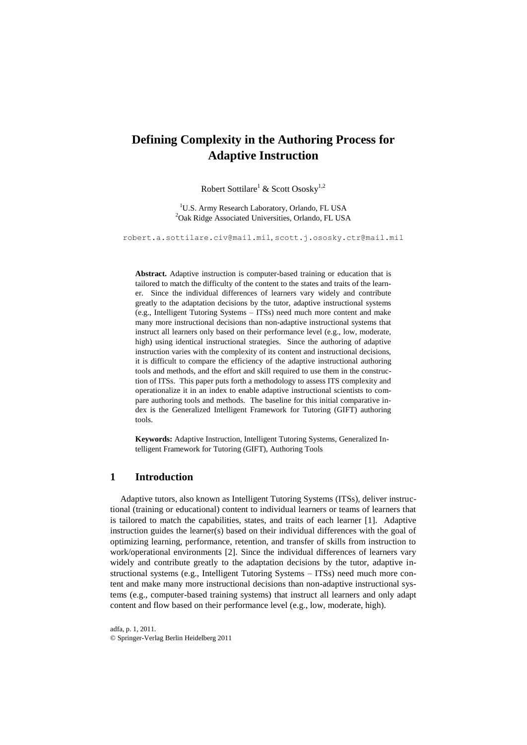# **Defining Complexity in the Authoring Process for Adaptive Instruction**

Robert Sottilare<sup>1</sup> & Scott Ososky<sup>1,2</sup>

<sup>1</sup>U.S. Army Research Laboratory, Orlando, FL USA <sup>2</sup>Oak Ridge Associated Universities, Orlando, FL USA

[robert.a.sottilare.civ@mail.mil](mailto:robert.a.sottilare.civ@mail.mil), [scott.j.ososky.ctr@mail.mil](mailto:scott.j.ososky.ctr@mail.mil)

**Abstract.** Adaptive instruction is computer-based training or education that is tailored to match the difficulty of the content to the states and traits of the learner. Since the individual differences of learners vary widely and contribute greatly to the adaptation decisions by the tutor, adaptive instructional systems (e.g., Intelligent Tutoring Systems – ITSs) need much more content and make many more instructional decisions than non-adaptive instructional systems that instruct all learners only based on their performance level (e.g., low, moderate, high) using identical instructional strategies. Since the authoring of adaptive instruction varies with the complexity of its content and instructional decisions, it is difficult to compare the efficiency of the adaptive instructional authoring tools and methods, and the effort and skill required to use them in the construction of ITSs. This paper puts forth a methodology to assess ITS complexity and operationalize it in an index to enable adaptive instructional scientists to compare authoring tools and methods. The baseline for this initial comparative index is the Generalized Intelligent Framework for Tutoring (GIFT) authoring tools.

**Keywords:** Adaptive Instruction, Intelligent Tutoring Systems, Generalized Intelligent Framework for Tutoring (GIFT), Authoring Tools

### **1 Introduction**

Adaptive tutors, also known as Intelligent Tutoring Systems (ITSs), deliver instructional (training or educational) content to individual learners or teams of learners that is tailored to match the capabilities, states, and traits of each learner [1]. Adaptive instruction guides the learner(s) based on their individual differences with the goal of optimizing learning, performance, retention, and transfer of skills from instruction to work/operational environments [2]. Since the individual differences of learners vary widely and contribute greatly to the adaptation decisions by the tutor, adaptive instructional systems (e.g., Intelligent Tutoring Systems – ITSs) need much more content and make many more instructional decisions than non-adaptive instructional systems (e.g., computer-based training systems) that instruct all learners and only adapt content and flow based on their performance level (e.g., low, moderate, high).

adfa, p. 1, 2011. © Springer-Verlag Berlin Heidelberg 2011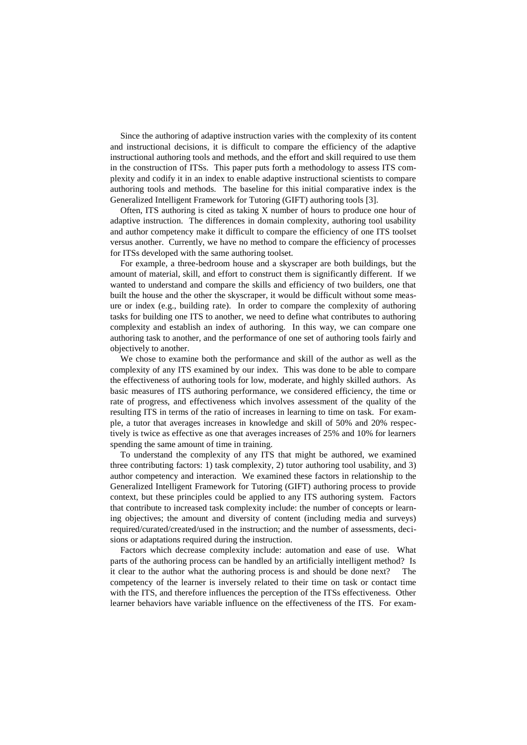Since the authoring of adaptive instruction varies with the complexity of its content and instructional decisions, it is difficult to compare the efficiency of the adaptive instructional authoring tools and methods, and the effort and skill required to use them in the construction of ITSs. This paper puts forth a methodology to assess ITS complexity and codify it in an index to enable adaptive instructional scientists to compare authoring tools and methods. The baseline for this initial comparative index is the Generalized Intelligent Framework for Tutoring (GIFT) authoring tools [3].

Often, ITS authoring is cited as taking X number of hours to produce one hour of adaptive instruction. The differences in domain complexity, authoring tool usability and author competency make it difficult to compare the efficiency of one ITS toolset versus another. Currently, we have no method to compare the efficiency of processes for ITSs developed with the same authoring toolset.

For example, a three-bedroom house and a skyscraper are both buildings, but the amount of material, skill, and effort to construct them is significantly different. If we wanted to understand and compare the skills and efficiency of two builders, one that built the house and the other the skyscraper, it would be difficult without some measure or index (e.g., building rate). In order to compare the complexity of authoring tasks for building one ITS to another, we need to define what contributes to authoring complexity and establish an index of authoring. In this way, we can compare one authoring task to another, and the performance of one set of authoring tools fairly and objectively to another.

We chose to examine both the performance and skill of the author as well as the complexity of any ITS examined by our index. This was done to be able to compare the effectiveness of authoring tools for low, moderate, and highly skilled authors. As basic measures of ITS authoring performance, we considered efficiency, the time or rate of progress, and effectiveness which involves assessment of the quality of the resulting ITS in terms of the ratio of increases in learning to time on task. For example, a tutor that averages increases in knowledge and skill of 50% and 20% respectively is twice as effective as one that averages increases of 25% and 10% for learners spending the same amount of time in training.

To understand the complexity of any ITS that might be authored, we examined three contributing factors: 1) task complexity, 2) tutor authoring tool usability, and 3) author competency and interaction. We examined these factors in relationship to the Generalized Intelligent Framework for Tutoring (GIFT) authoring process to provide context, but these principles could be applied to any ITS authoring system. Factors that contribute to increased task complexity include: the number of concepts or learning objectives; the amount and diversity of content (including media and surveys) required/curated/created/used in the instruction; and the number of assessments, decisions or adaptations required during the instruction.

Factors which decrease complexity include: automation and ease of use. What parts of the authoring process can be handled by an artificially intelligent method? Is it clear to the author what the authoring process is and should be done next? The competency of the learner is inversely related to their time on task or contact time with the ITS, and therefore influences the perception of the ITSs effectiveness. Other learner behaviors have variable influence on the effectiveness of the ITS. For exam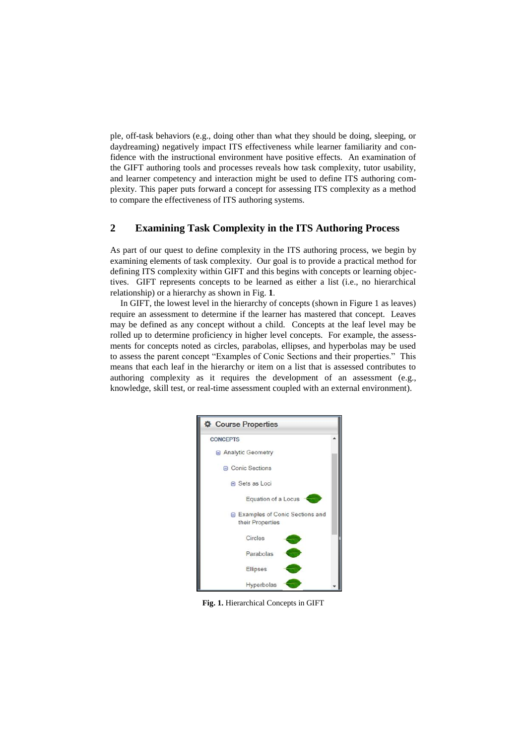ple, off-task behaviors (e.g., doing other than what they should be doing, sleeping, or daydreaming) negatively impact ITS effectiveness while learner familiarity and confidence with the instructional environment have positive effects. An examination of the GIFT authoring tools and processes reveals how task complexity, tutor usability, and learner competency and interaction might be used to define ITS authoring complexity. This paper puts forward a concept for assessing ITS complexity as a method to compare the effectiveness of ITS authoring systems.

# **2 Examining Task Complexity in the ITS Authoring Process**

As part of our quest to define complexity in the ITS authoring process, we begin by examining elements of task complexity. Our goal is to provide a practical method for defining ITS complexity within GIFT and this begins with concepts or learning objectives. GIFT represents concepts to be learned as either a list (i.e., no hierarchical relationship) or a hierarchy as shown in [Fig.](#page-2-0) **1**.

In GIFT, the lowest level in the hierarchy of concepts (shown in Figure 1 as leaves) require an assessment to determine if the learner has mastered that concept. Leaves may be defined as any concept without a child. Concepts at the leaf level may be rolled up to determine proficiency in higher level concepts. For example, the assessments for concepts noted as circles, parabolas, ellipses, and hyperbolas may be used to assess the parent concept "Examples of Conic Sections and their properties." This means that each leaf in the hierarchy or item on a list that is assessed contributes to authoring complexity as it requires the development of an assessment (e.g., knowledge, skill test, or real-time assessment coupled with an external environment).

<span id="page-2-0"></span>

**Fig. 1.** Hierarchical Concepts in GIFT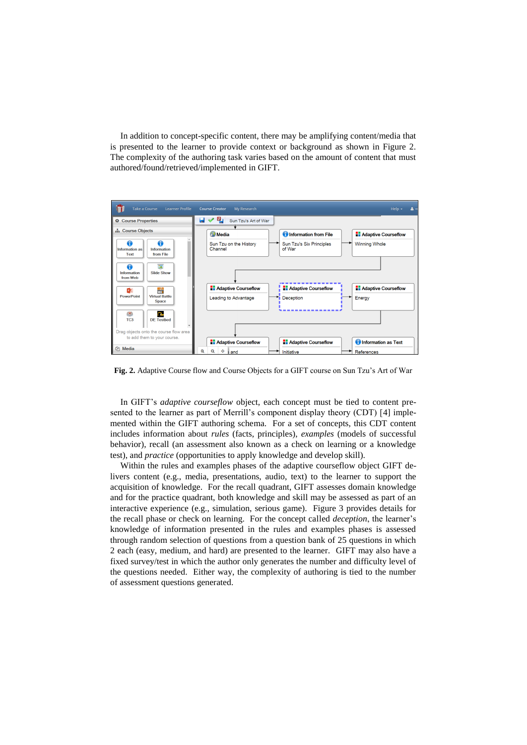In addition to concept-specific content, there may be amplifying content/media that is presented to the learner to provide context or background as shown in Figure 2. The complexity of the authoring task varies based on the amount of content that must authored/found/retrieved/implemented in GIFT.



**Fig. 2.** Adaptive Course flow and Course Objects for a GIFT course on Sun Tzu's Art of War

In GIFT's *adaptive courseflow* object, each concept must be tied to content presented to the learner as part of Merrill's component display theory (CDT) [4] implemented within the GIFT authoring schema. For a set of concepts, this CDT content includes information about *rules* (facts, principles), *examples* (models of successful behavior), recall (an assessment also known as a check on learning or a knowledge test), and *practice* (opportunities to apply knowledge and develop skill).

Within the rules and examples phases of the adaptive courseflow object GIFT delivers content (e.g., media, presentations, audio, text) to the learner to support the acquisition of knowledge. For the recall quadrant, GIFT assesses domain knowledge and for the practice quadrant, both knowledge and skill may be assessed as part of an interactive experience (e.g., simulation, serious game). Figure 3 provides details for the recall phase or check on learning. For the concept called *deception*, the learner's knowledge of information presented in the rules and examples phases is assessed through random selection of questions from a question bank of 25 questions in which 2 each (easy, medium, and hard) are presented to the learner. GIFT may also have a fixed survey/test in which the author only generates the number and difficulty level of the questions needed. Either way, the complexity of authoring is tied to the number of assessment questions generated.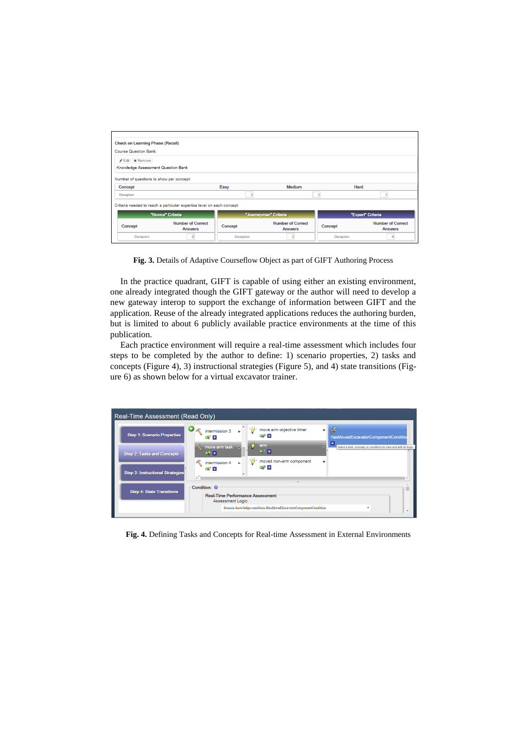| Number of questions to show per concept:                     |
|--------------------------------------------------------------|
| Edit   <b>x</b> Remove<br>Knowledge Assessment Question Bank |

**Fig. 3.** Details of Adaptive Courseflow Object as part of GIFT Authoring Process

In the practice quadrant, GIFT is capable of using either an existing environment, one already integrated though the GIFT gateway or the author will need to develop a new gateway interop to support the exchange of information between GIFT and the application. Reuse of the already integrated applications reduces the authoring burden, but is limited to about 6 publicly available practice environments at the time of this publication.

Each practice environment will require a real-time assessment which includes four steps to be completed by the author to define: 1) scenario properties, 2) tasks and concepts (Figure 4), 3) instructional strategies (Figure 5), and 4) state transitions (Figure 6) as shown below for a virtual excavator trainer.



**Fig. 4.** Defining Tasks and Concepts for Real-time Assessment in External Environments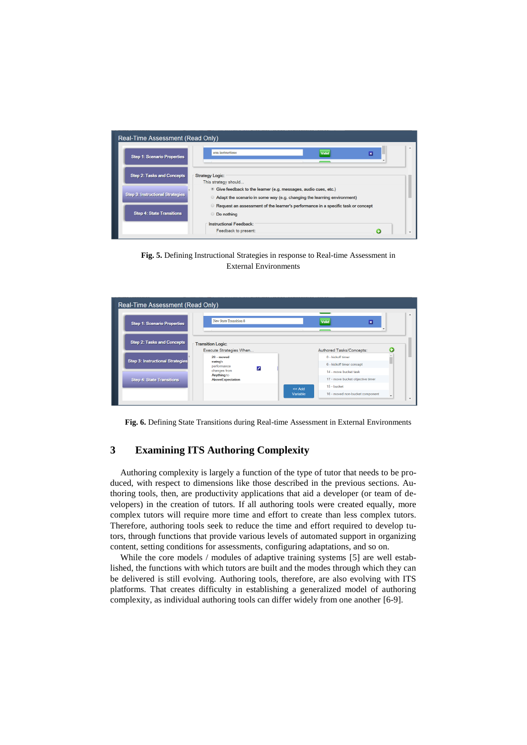

**Fig. 5.** Defining Instructional Strategies in response to Real-time Assessment in External Environments

| Real-Time Assessment (Read Only)        |                                                        |                                                           |
|-----------------------------------------|--------------------------------------------------------|-----------------------------------------------------------|
| <b>Step 1: Scenario Properties</b>      | <b>New State Transition 8</b>                          | <b>A</b><br>Valid<br>$\overline{\mathbf{x}}$              |
| <b>Step 2: Tasks and Concepts</b>       | <b>Transition Logic:</b><br>Execute Strategies When    | Authored Tasks/Concepts:                                  |
| <b>Step 3: Instructional Strategies</b> | $20 - moved$<br>swing's<br>performance                 | 8 - kickoff timer<br>6 - kickoff timer concept            |
| <b>Step 4: State Transitions</b>        | changes from<br><b>Anything to</b><br>AboveExpectation | 14 - move bucket task<br>17 - move bucket objective timer |
|                                         | $>$ Add<br>Variable                                    | 15 - bucket<br>16 - moved non-bucket component<br>×.      |

**Fig. 6.** Defining State Transitions during Real-time Assessment in External Environments

## **3 Examining ITS Authoring Complexity**

Authoring complexity is largely a function of the type of tutor that needs to be produced, with respect to dimensions like those described in the previous sections. Authoring tools, then, are productivity applications that aid a developer (or team of developers) in the creation of tutors. If all authoring tools were created equally, more complex tutors will require more time and effort to create than less complex tutors. Therefore, authoring tools seek to reduce the time and effort required to develop tutors, through functions that provide various levels of automated support in organizing content, setting conditions for assessments, configuring adaptations, and so on.

While the core models / modules of adaptive training systems [5] are well established, the functions with which tutors are built and the modes through which they can be delivered is still evolving. Authoring tools, therefore, are also evolving with ITS platforms. That creates difficulty in establishing a generalized model of authoring complexity, as individual authoring tools can differ widely from one another [6-9].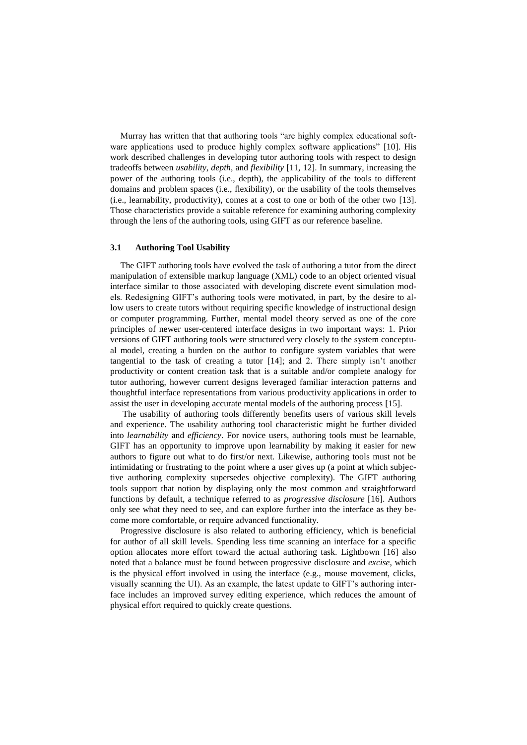Murray has written that that authoring tools "are highly complex educational software applications used to produce highly complex software applications" [10]. His work described challenges in developing tutor authoring tools with respect to design tradeoffs between *usability*, *depth*, and *flexibility* [11, 12]. In summary, increasing the power of the authoring tools (i.e., depth), the applicability of the tools to different domains and problem spaces (i.e., flexibility), or the usability of the tools themselves (i.e., learnability, productivity), comes at a cost to one or both of the other two [13]. Those characteristics provide a suitable reference for examining authoring complexity through the lens of the authoring tools, using GIFT as our reference baseline.

#### **3.1 Authoring Tool Usability**

The GIFT authoring tools have evolved the task of authoring a tutor from the direct manipulation of extensible markup language (XML) code to an object oriented visual interface similar to those associated with developing discrete event simulation models. Redesigning GIFT's authoring tools were motivated, in part, by the desire to allow users to create tutors without requiring specific knowledge of instructional design or computer programming. Further, mental model theory served as one of the core principles of newer user-centered interface designs in two important ways: 1. Prior versions of GIFT authoring tools were structured very closely to the system conceptual model, creating a burden on the author to configure system variables that were tangential to the task of creating a tutor [14]; and 2. There simply isn't another productivity or content creation task that is a suitable and/or complete analogy for tutor authoring, however current designs leveraged familiar interaction patterns and thoughtful interface representations from various productivity applications in order to assist the user in developing accurate mental models of the authoring process [15].

The usability of authoring tools differently benefits users of various skill levels and experience. The usability authoring tool characteristic might be further divided into *learnability* and *efficiency*. For novice users, authoring tools must be learnable, GIFT has an opportunity to improve upon learnability by making it easier for new authors to figure out what to do first/or next. Likewise, authoring tools must not be intimidating or frustrating to the point where a user gives up (a point at which subjective authoring complexity supersedes objective complexity). The GIFT authoring tools support that notion by displaying only the most common and straightforward functions by default, a technique referred to as *progressive disclosure* [16]. Authors only see what they need to see, and can explore further into the interface as they become more comfortable, or require advanced functionality.

Progressive disclosure is also related to authoring efficiency, which is beneficial for author of all skill levels. Spending less time scanning an interface for a specific option allocates more effort toward the actual authoring task. Lightbown [16] also noted that a balance must be found between progressive disclosure and *excise*, which is the physical effort involved in using the interface (e.g., mouse movement, clicks, visually scanning the UI). As an example, the latest update to GIFT's authoring interface includes an improved survey editing experience, which reduces the amount of physical effort required to quickly create questions.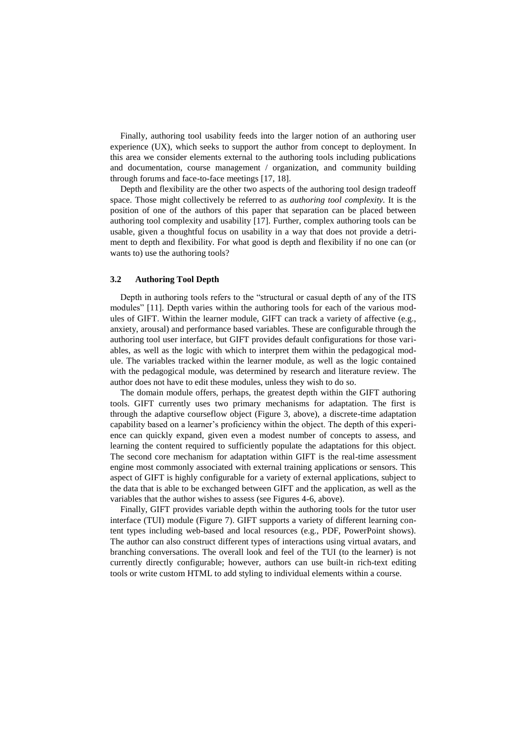Finally, authoring tool usability feeds into the larger notion of an authoring user experience (UX), which seeks to support the author from concept to deployment. In this area we consider elements external to the authoring tools including publications and documentation, course management / organization, and community building through forums and face-to-face meetings [17, 18].

Depth and flexibility are the other two aspects of the authoring tool design tradeoff space. Those might collectively be referred to as *authoring tool complexity.* It is the position of one of the authors of this paper that separation can be placed between authoring tool complexity and usability [17]. Further, complex authoring tools can be usable, given a thoughtful focus on usability in a way that does not provide a detriment to depth and flexibility. For what good is depth and flexibility if no one can (or wants to) use the authoring tools?

#### **3.2 Authoring Tool Depth**

Depth in authoring tools refers to the "structural or casual depth of any of the ITS modules" [11]. Depth varies within the authoring tools for each of the various modules of GIFT. Within the learner module, GIFT can track a variety of affective (e.g., anxiety, arousal) and performance based variables. These are configurable through the authoring tool user interface, but GIFT provides default configurations for those variables, as well as the logic with which to interpret them within the pedagogical module. The variables tracked within the learner module, as well as the logic contained with the pedagogical module, was determined by research and literature review. The author does not have to edit these modules, unless they wish to do so.

The domain module offers, perhaps, the greatest depth within the GIFT authoring tools. GIFT currently uses two primary mechanisms for adaptation. The first is through the adaptive courseflow object (Figure 3, above), a discrete-time adaptation capability based on a learner's proficiency within the object. The depth of this experience can quickly expand, given even a modest number of concepts to assess, and learning the content required to sufficiently populate the adaptations for this object. The second core mechanism for adaptation within GIFT is the real-time assessment engine most commonly associated with external training applications or sensors. This aspect of GIFT is highly configurable for a variety of external applications, subject to the data that is able to be exchanged between GIFT and the application, as well as the variables that the author wishes to assess (see Figures 4-6, above).

Finally, GIFT provides variable depth within the authoring tools for the tutor user interface (TUI) module (Figure 7). GIFT supports a variety of different learning content types including web-based and local resources (e.g., PDF, PowerPoint shows). The author can also construct different types of interactions using virtual avatars, and branching conversations. The overall look and feel of the TUI (to the learner) is not currently directly configurable; however, authors can use built-in rich-text editing tools or write custom HTML to add styling to individual elements within a course.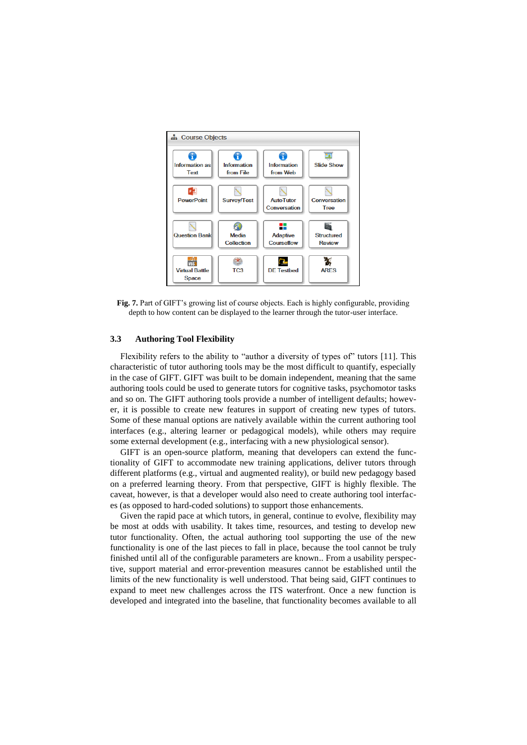

**Fig. 7.** Part of GIFT's growing list of course objects. Each is highly configurable, providing depth to how content can be displayed to the learner through the tutor-user interface.

#### **3.3 Authoring Tool Flexibility**

Flexibility refers to the ability to "author a diversity of types of" tutors [11]. This characteristic of tutor authoring tools may be the most difficult to quantify, especially in the case of GIFT. GIFT was built to be domain independent, meaning that the same authoring tools could be used to generate tutors for cognitive tasks, psychomotor tasks and so on. The GIFT authoring tools provide a number of intelligent defaults; however, it is possible to create new features in support of creating new types of tutors. Some of these manual options are natively available within the current authoring tool interfaces (e.g., altering learner or pedagogical models), while others may require some external development (e.g., interfacing with a new physiological sensor).

GIFT is an open-source platform, meaning that developers can extend the functionality of GIFT to accommodate new training applications, deliver tutors through different platforms (e.g., virtual and augmented reality), or build new pedagogy based on a preferred learning theory. From that perspective, GIFT is highly flexible. The caveat, however, is that a developer would also need to create authoring tool interfaces (as opposed to hard-coded solutions) to support those enhancements.

Given the rapid pace at which tutors, in general, continue to evolve, flexibility may be most at odds with usability. It takes time, resources, and testing to develop new tutor functionality. Often, the actual authoring tool supporting the use of the new functionality is one of the last pieces to fall in place, because the tool cannot be truly finished until all of the configurable parameters are known.. From a usability perspective, support material and error-prevention measures cannot be established until the limits of the new functionality is well understood. That being said, GIFT continues to expand to meet new challenges across the ITS waterfront. Once a new function is developed and integrated into the baseline, that functionality becomes available to all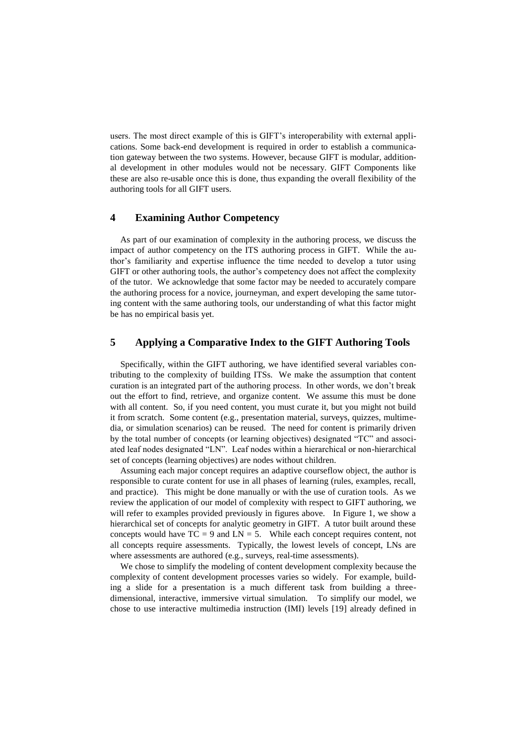users. The most direct example of this is GIFT's interoperability with external applications. Some back-end development is required in order to establish a communication gateway between the two systems. However, because GIFT is modular, additional development in other modules would not be necessary. GIFT Components like these are also re-usable once this is done, thus expanding the overall flexibility of the authoring tools for all GIFT users.

## **4 Examining Author Competency**

As part of our examination of complexity in the authoring process, we discuss the impact of author competency on the ITS authoring process in GIFT. While the author's familiarity and expertise influence the time needed to develop a tutor using GIFT or other authoring tools, the author's competency does not affect the complexity of the tutor. We acknowledge that some factor may be needed to accurately compare the authoring process for a novice, journeyman, and expert developing the same tutoring content with the same authoring tools, our understanding of what this factor might be has no empirical basis yet.

## **5 Applying a Comparative Index to the GIFT Authoring Tools**

Specifically, within the GIFT authoring, we have identified several variables contributing to the complexity of building ITSs. We make the assumption that content curation is an integrated part of the authoring process. In other words, we don't break out the effort to find, retrieve, and organize content. We assume this must be done with all content. So, if you need content, you must curate it, but you might not build it from scratch. Some content (e.g., presentation material, surveys, quizzes, multimedia, or simulation scenarios) can be reused. The need for content is primarily driven by the total number of concepts (or learning objectives) designated "TC" and associated leaf nodes designated "LN". Leaf nodes within a hierarchical or non-hierarchical set of concepts (learning objectives) are nodes without children.

Assuming each major concept requires an adaptive courseflow object, the author is responsible to curate content for use in all phases of learning (rules, examples, recall, and practice). This might be done manually or with the use of curation tools. As we review the application of our model of complexity with respect to GIFT authoring, we will refer to examples provided previously in figures above. In Figure 1, we show a hierarchical set of concepts for analytic geometry in GIFT. A tutor built around these concepts would have  $TC = 9$  and  $LN = 5$ . While each concept requires content, not all concepts require assessments. Typically, the lowest levels of concept, LNs are where assessments are authored (e.g., surveys, real-time assessments).

We chose to simplify the modeling of content development complexity because the complexity of content development processes varies so widely. For example, building a slide for a presentation is a much different task from building a threedimensional, interactive, immersive virtual simulation. To simplify our model, we chose to use interactive multimedia instruction (IMI) levels [19] already defined in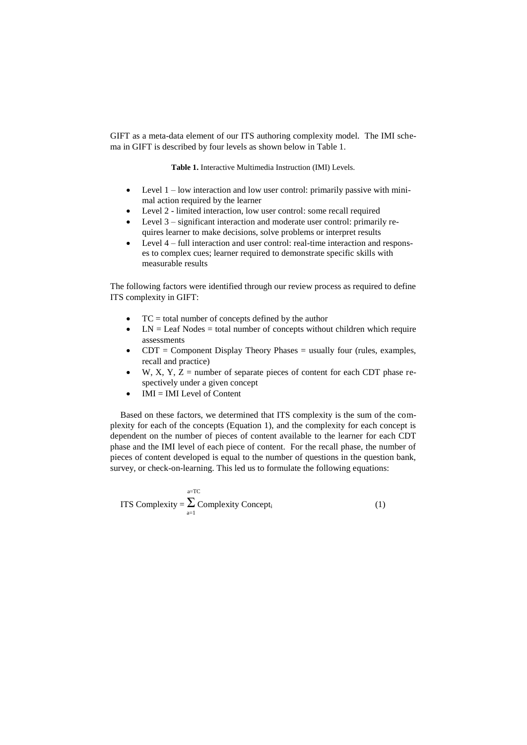GIFT as a meta-data element of our ITS authoring complexity model. The IMI schema in GIFT is described by four levels as shown below in Table 1.

**Table 1.** Interactive Multimedia Instruction (IMI) Levels.

- Level 1 low interaction and low user control: primarily passive with minimal action required by the learner
- Level 2 limited interaction, low user control: some recall required
- Level 3 significant interaction and moderate user control: primarily requires learner to make decisions, solve problems or interpret results
- Level 4 full interaction and user control: real-time interaction and responses to complex cues; learner required to demonstrate specific skills with measurable results

The following factors were identified through our review process as required to define ITS complexity in GIFT:

- TC = total number of concepts defined by the author
- $LN =$  Leaf Nodes  $=$  total number of concepts without children which require assessments
- $CDT =$  Component Display Theory Phases  $=$  usually four (rules, examples, recall and practice)
- W, X, Y,  $Z =$  number of separate pieces of content for each CDT phase respectively under a given concept
- $\bullet$  IMI = IMI Level of Content

Based on these factors, we determined that ITS complexity is the sum of the complexity for each of the concepts (Equation 1), and the complexity for each concept is dependent on the number of pieces of content available to the learner for each CDT phase and the IMI level of each piece of content. For the recall phase, the number of pieces of content developed is equal to the number of questions in the question bank, survey, or check-on-learning. This led us to formulate the following equations:

ITS Complexity = 
$$
\sum_{a=1}^{a=TC}
$$
Complexity Concept<sub>i</sub> (1)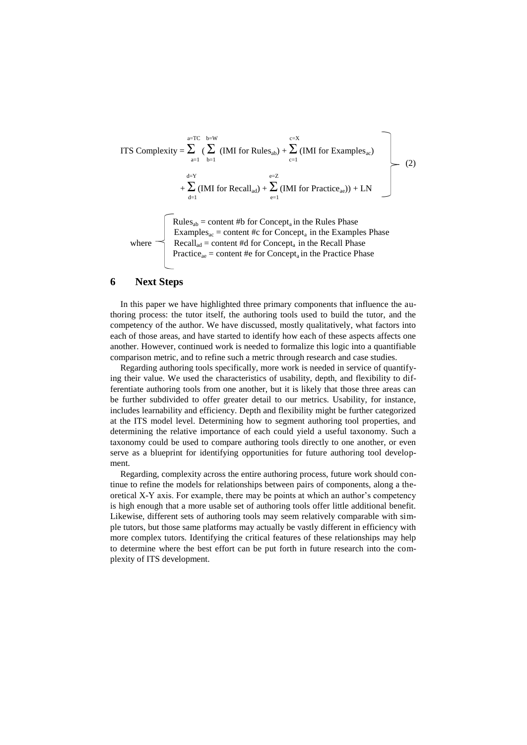ITS Complexity = 
$$
\sum_{a=1}^{a=TC} (\sum_{b=1}^{b=W} (IMI \text{ for Rules}_{ab}) + \sum_{c=1}^{c=X} (IMI \text{ for Examples}_{ac}) + \sum_{d=1}^{d=Y} (IMI \text{ for Recall}_{ad}) + \sum_{e=1}^{e=Z} (IMI \text{ for Practice}_{ae})) + LN
$$

\nRules<sub>ab</sub> = content #b for Concept<sub>a</sub> in the Rules Phase Examples<sub>ac</sub> = content #c for Concept<sub>a</sub> in the Examples Phase Recall<sub>ad</sub> = content #d for Concept<sub>a</sub> in the Recall Phase Practice<sub>ae</sub> = content #e for Concept<sub>a</sub> in the Practice Phase

## **6 Next Steps**

In this paper we have highlighted three primary components that influence the authoring process: the tutor itself, the authoring tools used to build the tutor, and the competency of the author. We have discussed, mostly qualitatively, what factors into each of those areas, and have started to identify how each of these aspects affects one another. However, continued work is needed to formalize this logic into a quantifiable comparison metric, and to refine such a metric through research and case studies.

Regarding authoring tools specifically, more work is needed in service of quantifying their value. We used the characteristics of usability, depth, and flexibility to differentiate authoring tools from one another, but it is likely that those three areas can be further subdivided to offer greater detail to our metrics. Usability, for instance, includes learnability and efficiency. Depth and flexibility might be further categorized at the ITS model level. Determining how to segment authoring tool properties, and determining the relative importance of each could yield a useful taxonomy. Such a taxonomy could be used to compare authoring tools directly to one another, or even serve as a blueprint for identifying opportunities for future authoring tool development.

Regarding, complexity across the entire authoring process, future work should continue to refine the models for relationships between pairs of components, along a theoretical X-Y axis. For example, there may be points at which an author's competency is high enough that a more usable set of authoring tools offer little additional benefit. Likewise, different sets of authoring tools may seem relatively comparable with simple tutors, but those same platforms may actually be vastly different in efficiency with more complex tutors. Identifying the critical features of these relationships may help to determine where the best effort can be put forth in future research into the complexity of ITS development.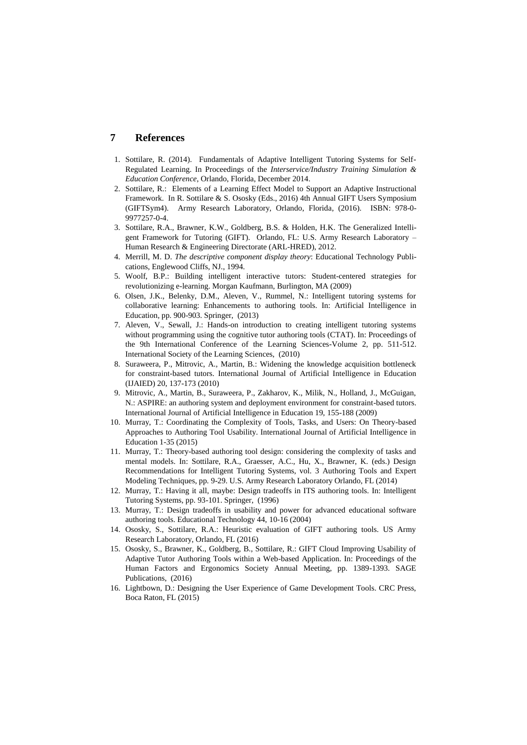## **7 References**

- 1. Sottilare, R. (2014). Fundamentals of Adaptive Intelligent Tutoring Systems for Self-Regulated Learning. In Proceedings of the *Interservice/Industry Training Simulation & Education Conference*, Orlando, Florida, December 2014.
- 2. Sottilare, R.: Elements of a Learning Effect Model to Support an Adaptive Instructional Framework. In R. Sottilare & S. Ososky (Eds., 2016) 4th Annual GIFT Users Symposium (GIFTSym4). Army Research Laboratory, Orlando, Florida, (2016). ISBN: 978-0- 9977257-0-4.
- 3. Sottilare, R.A., Brawner, K.W., Goldberg, B.S. & Holden, H.K. The Generalized Intelligent Framework for Tutoring (GIFT). Orlando, FL: U.S. Army Research Laboratory – Human Research & Engineering Directorate (ARL-HRED), 2012.
- 4. Merrill, M. D. *The descriptive component display theory*: Educational Technology Publications, Englewood Cliffs, NJ., 1994.
- 5. Woolf, B.P.: Building intelligent interactive tutors: Student-centered strategies for revolutionizing e-learning. Morgan Kaufmann, Burlington, MA (2009)
- 6. Olsen, J.K., Belenky, D.M., Aleven, V., Rummel, N.: Intelligent tutoring systems for collaborative learning: Enhancements to authoring tools. In: Artificial Intelligence in Education, pp. 900-903. Springer, (2013)
- 7. Aleven, V., Sewall, J.: Hands-on introduction to creating intelligent tutoring systems without programming using the cognitive tutor authoring tools (CTAT). In: Proceedings of the 9th International Conference of the Learning Sciences-Volume 2, pp. 511-512. International Society of the Learning Sciences, (2010)
- 8. Suraweera, P., Mitrovic, A., Martin, B.: Widening the knowledge acquisition bottleneck for constraint-based tutors. International Journal of Artificial Intelligence in Education (IJAIED) 20, 137-173 (2010)
- 9. Mitrovic, A., Martin, B., Suraweera, P., Zakharov, K., Milik, N., Holland, J., McGuigan, N.: ASPIRE: an authoring system and deployment environment for constraint-based tutors. International Journal of Artificial Intelligence in Education 19, 155-188 (2009)
- 10. Murray, T.: Coordinating the Complexity of Tools, Tasks, and Users: On Theory-based Approaches to Authoring Tool Usability. International Journal of Artificial Intelligence in Education 1-35 (2015)
- 11. Murray, T.: Theory-based authoring tool design: considering the complexity of tasks and mental models. In: Sottilare, R.A., Graesser, A.C., Hu, X., Brawner, K. (eds.) Design Recommendations for Intelligent Tutoring Systems, vol. 3 Authoring Tools and Expert Modeling Techniques, pp. 9-29. U.S. Army Research Laboratory Orlando, FL (2014)
- 12. Murray, T.: Having it all, maybe: Design tradeoffs in ITS authoring tools. In: Intelligent Tutoring Systems, pp. 93-101. Springer, (1996)
- 13. Murray, T.: Design tradeoffs in usability and power for advanced educational software authoring tools. Educational Technology 44, 10-16 (2004)
- 14. Ososky, S., Sottilare, R.A.: Heuristic evaluation of GIFT authoring tools. US Army Research Laboratory, Orlando, FL (2016)
- 15. Ososky, S., Brawner, K., Goldberg, B., Sottilare, R.: GIFT Cloud Improving Usability of Adaptive Tutor Authoring Tools within a Web-based Application. In: Proceedings of the Human Factors and Ergonomics Society Annual Meeting, pp. 1389-1393. SAGE Publications, (2016)
- 16. Lightbown, D.: Designing the User Experience of Game Development Tools. CRC Press, Boca Raton, FL (2015)